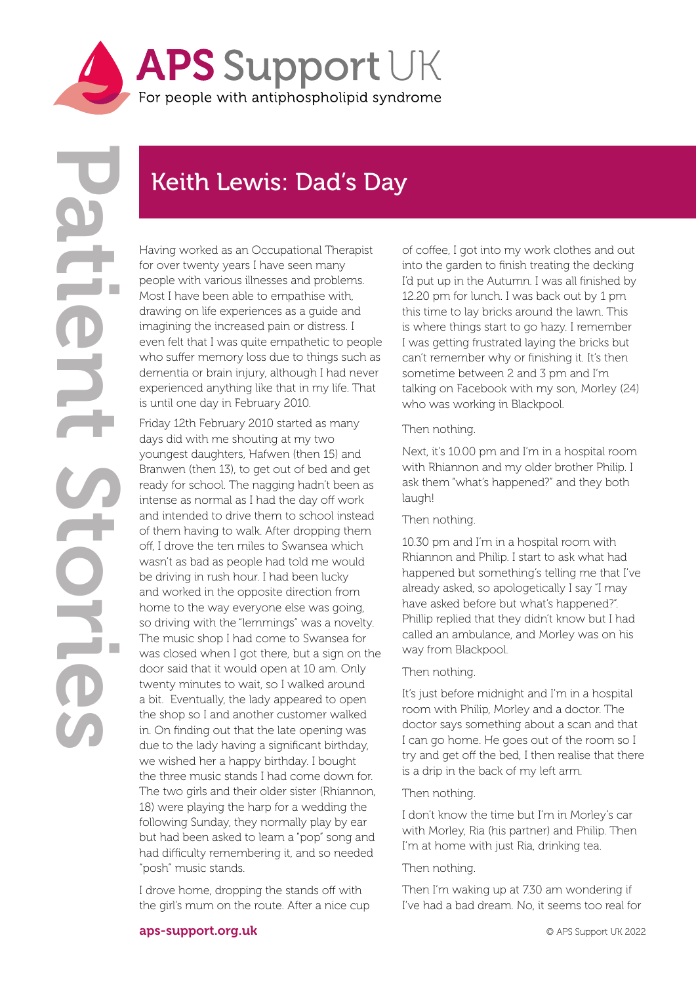

# Keith Lewis: Dad's Day

Having worked as an Occupational Therapist for over twenty years I have seen many people with various illnesses and problems. Most I have been able to empathise with, drawing on life experiences as a guide and imagining the increased pain or distress. I even felt that I was quite empathetic to people who suffer memory loss due to things such as dementia or brain injury, although I had never experienced anything like that in my life. That is until one day in February 2010.

Friday 12th February 2010 started as many days did with me shouting at my two youngest daughters, Hafwen (then 15) and Branwen (then 13), to get out of bed and get ready for school. The nagging hadn't been as intense as normal as I had the day off work and intended to drive them to school instead of them having to walk. After dropping them off, I drove the ten miles to Swansea which wasn't as bad as people had told me would be driving in rush hour. I had been lucky and worked in the opposite direction from home to the way everyone else was going, so driving with the "lemmings" was a novelty. The music shop I had come to Swansea for was closed when I got there, but a sign on the door said that it would open at 10 am. Only twenty minutes to wait, so I walked around a bit. Eventually, the lady appeared to open the shop so I and another customer walked in. On finding out that the late opening was due to the lady having a significant birthday, we wished her a happy birthday. I bought the three music stands I had come down for. The two girls and their older sister (Rhiannon, 18) were playing the harp for a wedding the following Sunday, they normally play by ear but had been asked to learn a "pop" song and had difficulty remembering it, and so needed "posh" music stands.

I drove home, dropping the stands off with the girl's mum on the route. After a nice cup of coffee, I got into my work clothes and out into the garden to finish treating the decking I'd put up in the Autumn. I was all finished by 12.20 pm for lunch. I was back out by 1 pm this time to lay bricks around the lawn. This is where things start to go hazy. I remember I was getting frustrated laying the bricks but can't remember why or finishing it. It's then sometime between 2 and 3 pm and I'm talking on Facebook with my son, Morley (24) who was working in Blackpool.

### Then nothing.

Next, it's 10.00 pm and I'm in a hospital room with Rhiannon and my older brother Philip. I ask them "what's happened?" and they both laugh!

#### Then nothing.

10.30 pm and I'm in a hospital room with Rhiannon and Philip. I start to ask what had happened but something's telling me that I've already asked, so apologetically I say "I may have asked before but what's happened?". Phillip replied that they didn't know but I had called an ambulance, and Morley was on his way from Blackpool.

#### Then nothing.

It's just before midnight and I'm in a hospital room with Philip, Morley and a doctor. The doctor says something about a scan and that I can go home. He goes out of the room so I try and get off the bed, I then realise that there is a drip in the back of my left arm.

#### Then nothing.

I don't know the time but I'm in Morley's car with Morley, Ria (his partner) and Philip. Then I'm at home with just Ria, drinking tea.

#### Then nothing.

Then I'm waking up at 7.30 am wondering if I've had a bad dream. No, it seems too real for